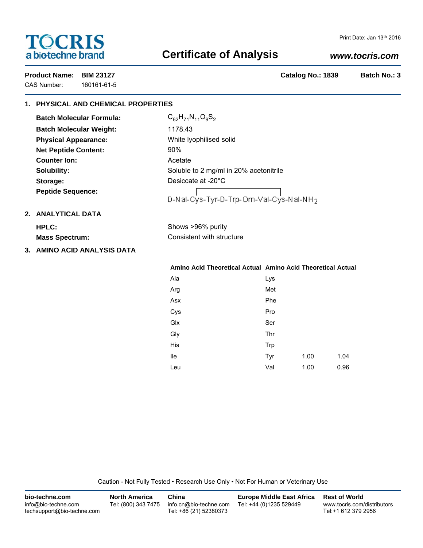# **TOCRIS** a biotechne brand

#### Print Date: Jan 13th 2016

# **Certificate of Analysis**

# *www.tocris.com*

CAS Number: 160161-61-5

**Product Name: BIM 23127 Catalog No.: 1839 Batch No.: 3**

# **1. PHYSICAL AND CHEMICAL PROPERTIES**

| <b>Batch Molecular Formula:</b> | $C_{62}$ |
|---------------------------------|----------|
| <b>Batch Molecular Weight:</b>  | 1178     |
| <b>Physical Appearance:</b>     | Whit     |
| <b>Net Peptide Content:</b>     | 90%      |
| <b>Counter lon:</b>             | Acet     |
| Solubility:                     | Solu     |
| Storage:                        | Desi     |
| <b>Peptide Sequence:</b>        |          |

 $C_{62}H_{71}N_{11}O_9S_2$ **Batch Molecular Weight:** 1178.43 **Physical Appearance:** White lyophilised solid Acetate Soluble to 2 mg/ml in 20% acetonitrile **Storage:** Desiccate at -20°C

# |<br>|D-Nal-Cys-Tyr-D-Trp-Orn-Val-Cys-Nal-NH<sub>2</sub>

# **2. ANALYTICAL DATA**

|  |  | HPLC:        |  |  |
|--|--|--------------|--|--|
|  |  | $M$ aca Chac |  |  |

|  | <b>Mass Spectrum:</b> |  |
|--|-----------------------|--|
|--|-----------------------|--|

**3. AMINO ACID ANALYSIS DATA**

# **Mass Spectrum:** Consistent with structure

Shows >96% purity

## **Amino Acid Theoretical Actual Amino Acid Theoretical Actual**

| Ala    | Lys |      |      |
|--------|-----|------|------|
| Arg    | Met |      |      |
| Asx    | Phe |      |      |
| Cys    | Pro |      |      |
| $G$ lx | Ser |      |      |
| Gly    | Thr |      |      |
| His    | Trp |      |      |
| lle    | Tyr | 1.00 | 1.04 |
| Leu    | Val | 1.00 | 0.96 |

Caution - Not Fully Tested • Research Use Only • Not For Human or Veterinary Use

| bio-techne.com                                    | <b>North America</b> | China                                            | <b>Europe Middle East Africa</b> | <b>Rest of World</b>                               |
|---------------------------------------------------|----------------------|--------------------------------------------------|----------------------------------|----------------------------------------------------|
| info@bio-techne.com<br>techsupport@bio-techne.com | Tel: (800) 343 7475  | info.cn@bio-techne.com<br>Tel: +86 (21) 52380373 | Tel: +44 (0)1235 529449          | www.tocris.com/distributors<br>Tel:+1 612 379 2956 |